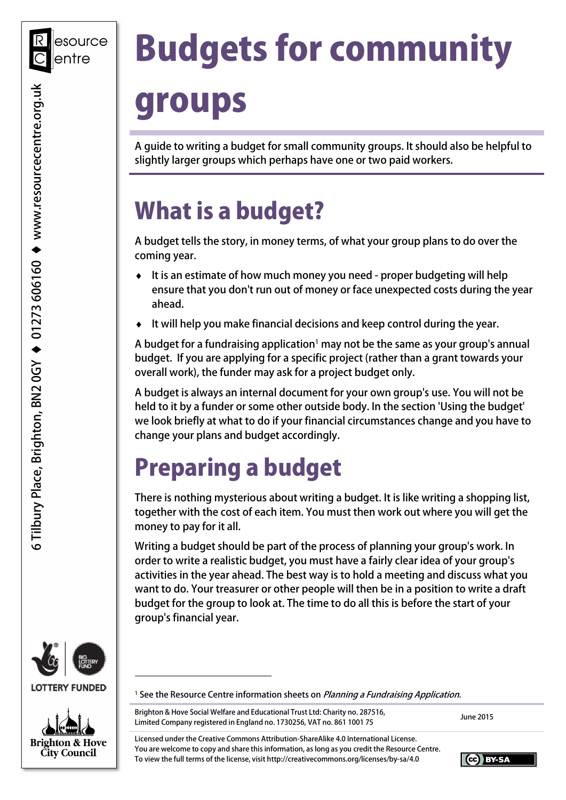# Budgets for community

# groups

 A guide to writing a budget for small community groups. It should also be helpful to slightly larger groups which perhaps have one or two paid workers.

## What is a budget?

 A budget tells the story, in money terms, of what your group plans to do over the coming year.

- ♦ It is an estimate of how much money you need proper budgeting will help ensure that you don't run out of money or face unexpected costs during the year ahead.
- ♦ It will help you make financial decisions and keep control during the year.

A budget for a fundraising application<sup>1</sup> may not be the same as your group's annual budget. If you are applying for a specific project (rather than a grant towards your overall work), the funder may ask for a project budget only.

 A budget is always an internal document for your own group's use. You will not be held to it by a funder or some other outside body. In the section 'Using the budget' we look briefly at what to do if your financial circumstances change and you have to change your plans and budget accordingly.

# Preparing a budget

 There is nothing mysterious about writing a budget. It is like writing a shopping list, together with the cost of each item. You must then work out where you will get the money to pay for it all.

 Writing a budget should be part of the process of planning your group's work. In order to write a realistic budget, you must have a fairly clear idea of your group's activities in the year ahead. The best way is to hold a meeting and discuss what you want to do. Your treasurer or other people will then be in a position to write a draft budget for the group to look at. The time to do all this is before the start of your group's financial year.



**LOTTERY FUNDED** 

-



<sup>1</sup> See the Resource Centre information sheets on *Planning a Fundraising Application*.

Brighton & Hove Social Welfare and Educational Trust Ltd: Charity no. 287516, Brighton & Hove Social Welfare and Educational Trust Ltd: Charity no. 287516,<br>Limited Company registered in England no. 1730256, VAT no. 861 1001 75

 Licensed under the Creative Commons Attribution-ShareAlike 4.0 International License. You are welcome to copy and share this information, as long as you credit the Resource Centre. To view the full terms of the license, visit <http://creativecommons.org/licenses/by-sa/4.0>

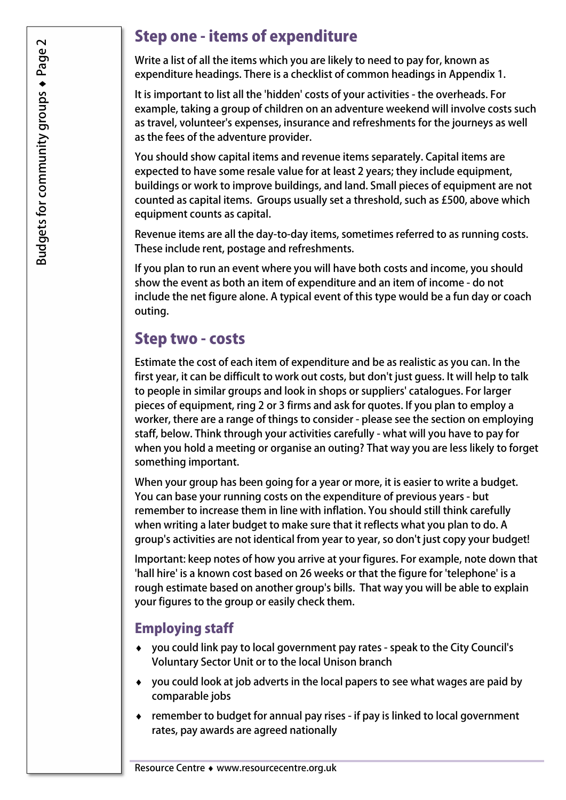#### Step one - items of expenditure

 Write a list of all the items which you are likely to need to pay for, known as expenditure headings. There is a checklist of common headings in Appendix 1.

 It is important to list all the 'hidden' costs of your activities - the overheads. For example, taking a group of children on an adventure weekend will involve costs such as travel, volunteer's expenses, insurance and refreshments for the journeys as well as the fees of the adventure provider.

 You should show capital items and revenue items separately. Capital items are expected to have some resale value for at least 2 years; they include equipment, buildings or work to improve buildings, and land. Small pieces of equipment are not counted as capital items. Groups usually set a threshold, such as £500, above which equipment counts as capital.

 Revenue items are all the day-to-day items, sometimes referred to as running costs. These include rent, postage and refreshments.

 If you plan to run an event where you will have both costs and income, you should show the event as both an item of expenditure and an item of income - do not include the net figure alone. A typical event of this type would be a fun day or coach outing.

#### Step two - costs

 Estimate the cost of each item of expenditure and be as realistic as you can. In the first year, it can be difficult to work out costs, but don't just guess. It will help to talk to people in similar groups and look in shops or suppliers' catalogues. For larger pieces of equipment, ring 2 or 3 firms and ask for quotes. If you plan to employ a worker, there are a range of things to consider - please see the section on employing staff, below. Think through your activities carefully - what will you have to pay for when you hold a meeting or organise an outing? That way you are less likely to forget something important.

 When your group has been going for a year or more, it is easier to write a budget. You can base your running costs on the expenditure of previous years - but remember to increase them in line with inflation. You should still think carefully when writing a later budget to make sure that it reflects what you plan to do. A group's activities are not identical from year to year, so don't just copy your budget!

 Important: keep notes of how you arrive at your figures. For example, note down that 'hall hire' is a known cost based on 26 weeks or that the figure for 'telephone' is a rough estimate based on another group's bills. That way you will be able to explain your figures to the group or easily check them.

#### Employing staff

- ♦ you could link pay to local government pay rates speak to the City Council's Voluntary Sector Unit or to the local Unison branch
- ♦ you could look at job adverts in the local papers to see what wages are paid by comparable jobs
- ♦ remember to budget for annual pay rises if pay is linked to local government rates, pay awards are agreed nationally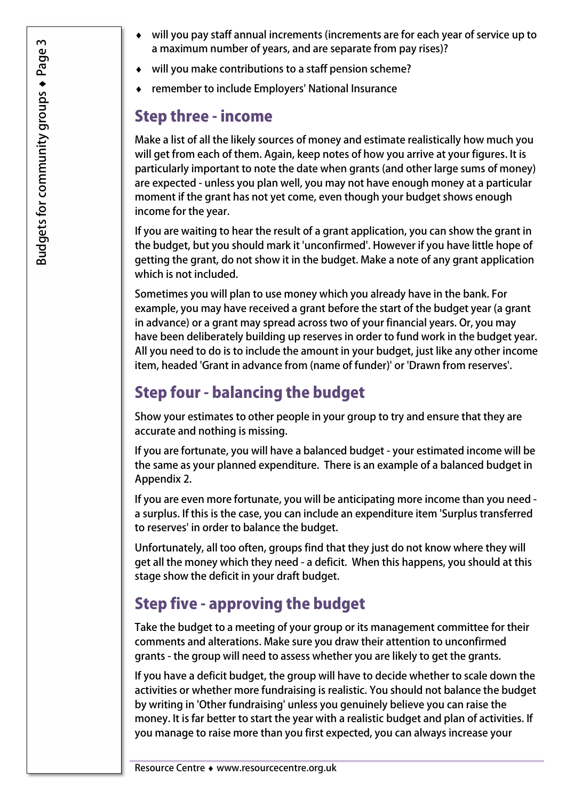- ♦ will you pay staff annual increments (increments are for each year of service up to a maximum number of years, and are separate from pay rises)?
- ♦ will you make contributions to a staff pension scheme?
- ♦ remember to include Employers' National Insurance

#### Step three - income

 Make a list of all the likely sources of money and estimate realistically how much you will get from each of them. Again, keep notes of how you arrive at your figures. It is particularly important to note the date when grants (and other large sums of money) are expected - unless you plan well, you may not have enough money at a particular moment if the grant has not yet come, even though your budget shows enough income for the year.

 If you are waiting to hear the result of a grant application, you can show the grant in the budget, but you should mark it 'unconfirmed'. However if you have little hope of getting the grant, do not show it in the budget. Make a note of any grant application which is not included.

 Sometimes you will plan to use money which you already have in the bank. For example, you may have received a grant before the start of the budget year (a grant in advance) or a grant may spread across two of your financial years. Or, you may have been deliberately building up reserves in order to fund work in the budget year. All you need to do is to include the amount in your budget, just like any other income item, headed 'Grant in advance from (name of funder)' or 'Drawn from reserves'.

## Step four - balancing the budget

 Show your estimates to other people in your group to try and ensure that they are accurate and nothing is missing.

 If you are fortunate, you will have a balanced budget - your estimated income will be the same as your planned expenditure. There is an example of a balanced budget in Appendix 2.

 If you are even more fortunate, you will be anticipating more income than you need - a surplus. If this is the case, you can include an expenditure item 'Surplus transferred to reserves' in order to balance the budget.

 Unfortunately, all too often, groups find that they just do not know where they will get all the money which they need - a deficit. When this happens, you should at this stage show the deficit in your draft budget.

### Step five - approving the budget

 Take the budget to a meeting of your group or its management committee for their comments and alterations. Make sure you draw their attention to unconfirmed grants - the group will need to assess whether you are likely to get the grants.

 If you have a deficit budget, the group will have to decide whether to scale down the activities or whether more fundraising is realistic. You should not balance the budget by writing in 'Other fundraising' unless you genuinely believe you can raise the money. It is far better to start the year with a realistic budget and plan of activities. If you manage to raise more than you first expected, you can always increase your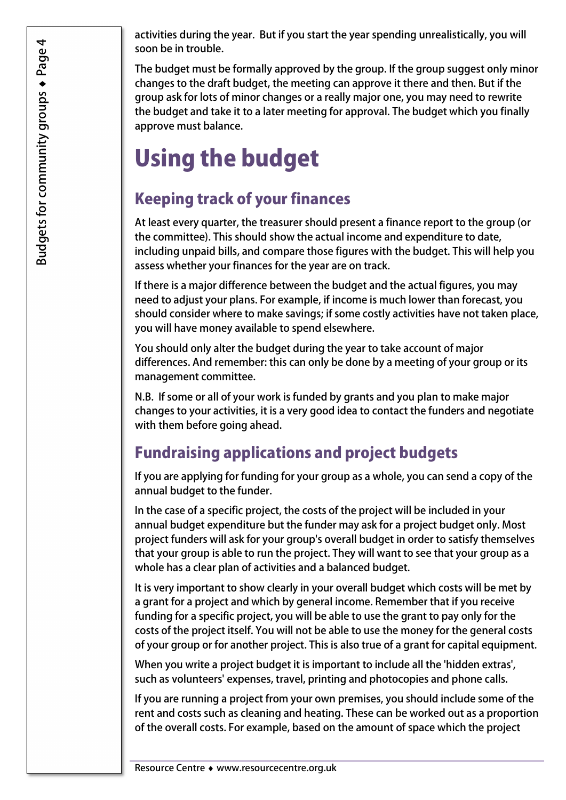activities during the year. But if you start the year spending unrealistically, you will soon be in trouble.

 The budget must be formally approved by the group. If the group suggest only minor changes to the draft budget, the meeting can approve it there and then. But if the group ask for lots of minor changes or a really major one, you may need to rewrite the budget and take it to a later meeting for approval. The budget which you finally approve must balance.

## Using the budget

### Keeping track of your finances

 At least every quarter, the treasurer should present a finance report to the group (or the committee). This should show the actual income and expenditure to date, including unpaid bills, and compare those figures with the budget. This will help you assess whether your finances for the year are on track.

 If there is a major difference between the budget and the actual figures, you may need to adjust your plans. For example, if income is much lower than forecast, you should consider where to make savings; if some costly activities have not taken place, you will have money available to spend elsewhere.

 You should only alter the budget during the year to take account of major differences. And remember: this can only be done by a meeting of your group or its management committee.

 N.B. If some or all of your work is funded by grants and you plan to make major changes to your activities, it is a very good idea to contact the funders and negotiate with them before going ahead.

### Fundraising applications and project budgets

 If you are applying for funding for your group as a whole, you can send a copy of the annual budget to the funder.

 In the case of a specific project, the costs of the project will be included in your annual budget expenditure but the funder may ask for a project budget only. Most project funders will ask for your group's overall budget in order to satisfy themselves that your group is able to run the project. They will want to see that your group as a whole has a clear plan of activities and a balanced budget.

 It is very important to show clearly in your overall budget which costs will be met by a grant for a project and which by general income. Remember that if you receive funding for a specific project, you will be able to use the grant to pay only for the costs of the project itself. You will not be able to use the money for the general costs of your group or for another project. This is also true of a grant for capital equipment.

 When you write a project budget it is important to include all the 'hidden extras', such as volunteers' expenses, travel, printing and photocopies and phone calls.

 If you are running a project from your own premises, you should include some of the rent and costs such as cleaning and heating. These can be worked out as a proportion of the overall costs. For example, based on the amount of space which the project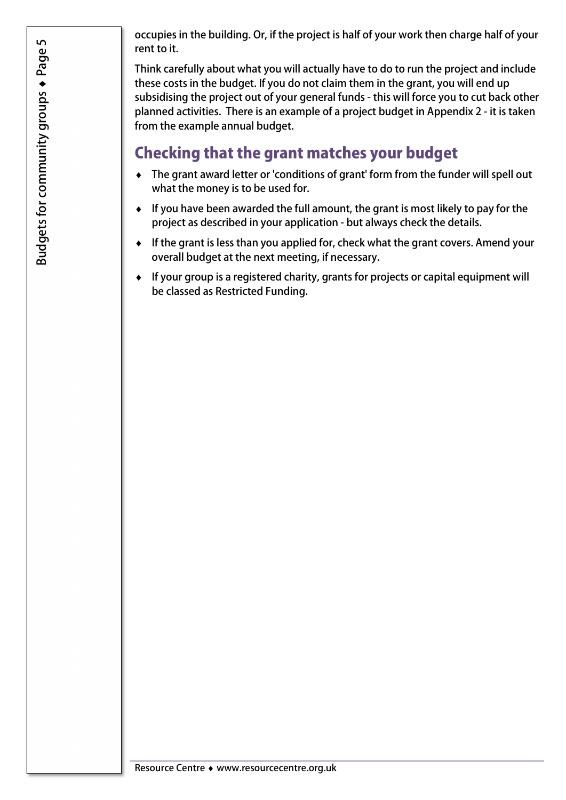occupies in the building. Or, if the project is half of your work then charge half of your rent to it.

 Think carefully about what you will actually have to do to run the project and include these costs in the budget. If you do not claim them in the grant, you will end up subsidising the project out of your general funds - this will force you to cut back other planned activities. There is an example of a project budget in Appendix 2 - it is taken from the example annual budget.

#### Checking that the grant matches your budget

- ♦ The grant award letter or 'conditions of grant' form from the funder will spell out what the money is to be used for.
- ♦ If you have been awarded the full amount, the grant is most likely to pay for the project as described in your application - but always check the details.
- ♦ If the grant is less than you applied for, check what the grant covers. Amend your overall budget at the next meeting, if necessary.
- ♦ If your group is a registered charity, grants for projects or capital equipment will be classed as Restricted Funding.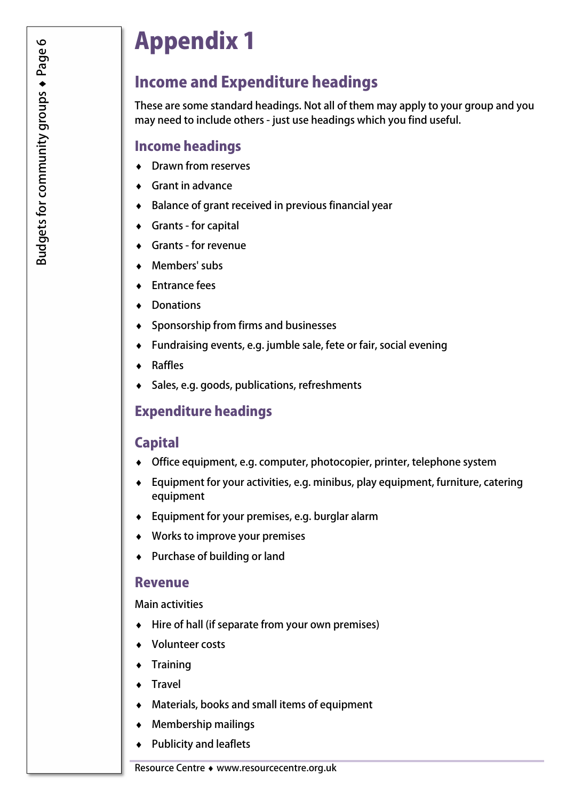## Appendix 1

#### Income and Expenditure headings

 These are some standard headings. Not all of them may apply to your group and you may need to include others - just use headings which you find useful.

#### Income headings

- ♦ Drawn from reserves
- ♦ Grant in advance
- ♦ Balance of grant received in previous financial year
- ♦ Grants for capital
- ♦ Grants for revenue
- ♦ Members' subs
- ♦ Entrance fees
- ♦ Donations
- ♦ Sponsorship from firms and businesses
- ♦ Fundraising events, e.g. jumble sale, fete or fair, social evening
- **Raffles**
- ♦ Sales, e.g. goods, publications, refreshments

#### Expenditure headings

#### **Capital**

- ♦ Office equipment, e.g. computer, photocopier, printer, telephone system
- ♦ Equipment for your activities, e.g. minibus, play equipment, furniture, catering equipment
- ♦ Equipment for your premises, e.g. burglar alarm
- ♦ Works to improve your premises
- ♦ Purchase of building or land

#### Revenue

Main activities

- ♦ Hire of hall (if separate from your own premises)
- ♦ Volunteer costs
- **Training**
- Travel
- ♦ Materials, books and small items of equipment
- ♦ Membership mailings
- ♦ Publicity and leaflets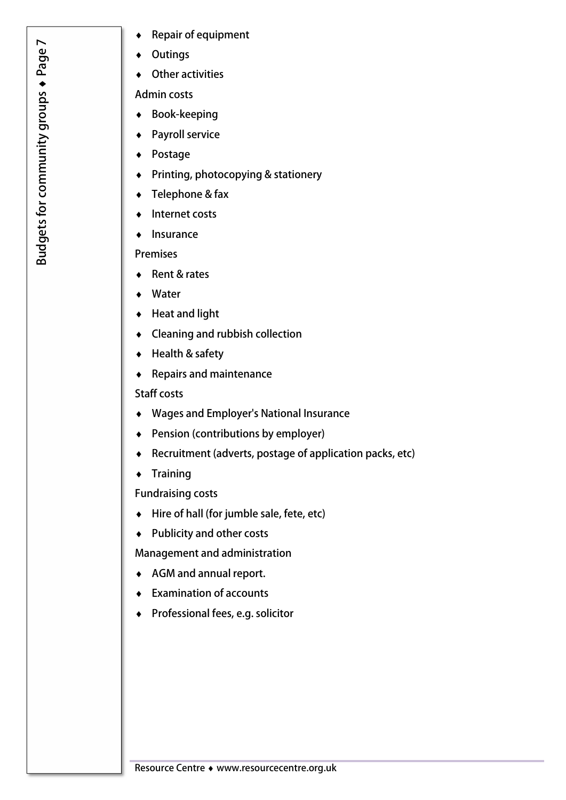- ♦ Repair of equipment
- **Outings**
- ♦ Other activities

Admin costs

- ♦ Book-keeping
- ♦ Payroll service
- ♦ Postage
- ♦ Printing, photocopying & stationery
- ♦ Telephone & fax
- ♦ Internet costs
- ♦ Insurance

#### Premises

- ♦ Rent & rates
- ♦ Water
- ♦ Heat and light
- ♦ Cleaning and rubbish collection
- ♦ Health & safety
- ♦ Repairs and maintenance

#### Staff costs

- ♦ Wages and Employer's National Insurance
- ♦ Pension (contributions by employer)
- ♦ Recruitment (adverts, postage of application packs, etc)
- ♦ Training

Fundraising costs

- ♦ Hire of hall (for jumble sale, fete, etc)
- ♦ Publicity and other costs

Management and administration

- ♦ AGM and annual report.
- ♦ Examination of accounts
- ♦ Professional fees, e.g. solicitor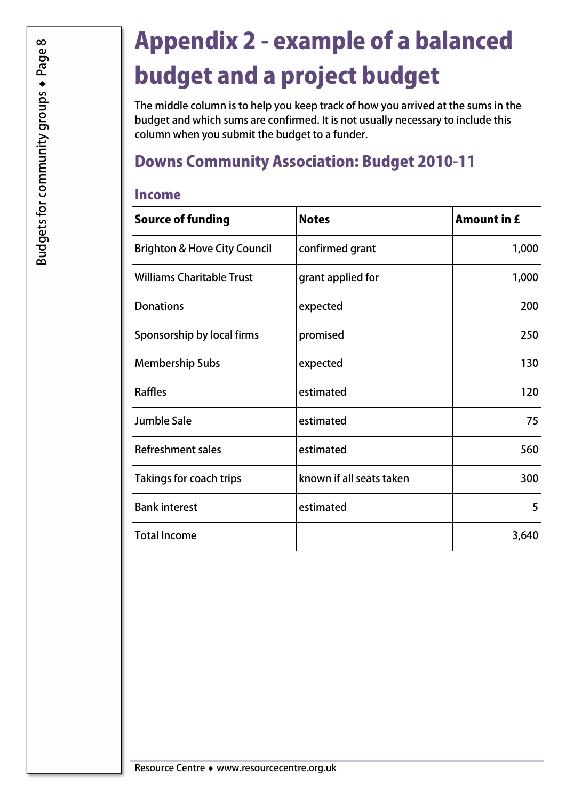# Appendix 2 - example of a balanced budget and a project budget

 The middle column is to help you keep track of how you arrived at the sums in the budget and which sums are confirmed. It is not usually necessary to include this column when you submit the budget to a funder.

## Downs Community Association: Budget 2010-11

#### Income

| <b>Source of funding</b>                | <b>Notes</b>             | <b>Amount in £</b> |
|-----------------------------------------|--------------------------|--------------------|
| <b>Brighton &amp; Hove City Council</b> | confirmed grant          | 1,000              |
| <b>Williams Charitable Trust</b>        | grant applied for        | 1,000              |
| <b>Donations</b>                        | expected                 | 200                |
| Sponsorship by local firms              | promised                 | 250                |
| <b>Membership Subs</b>                  | expected                 | 130                |
| <b>Raffles</b>                          | estimated                | 120                |
| <b>Jumble Sale</b>                      | estimated                | 75                 |
| <b>Refreshment sales</b>                | estimated                | 560                |
| Takings for coach trips                 | known if all seats taken | 300                |
| <b>Bank interest</b>                    | estimated                | 5                  |
| <b>Total Income</b>                     |                          | 3,640              |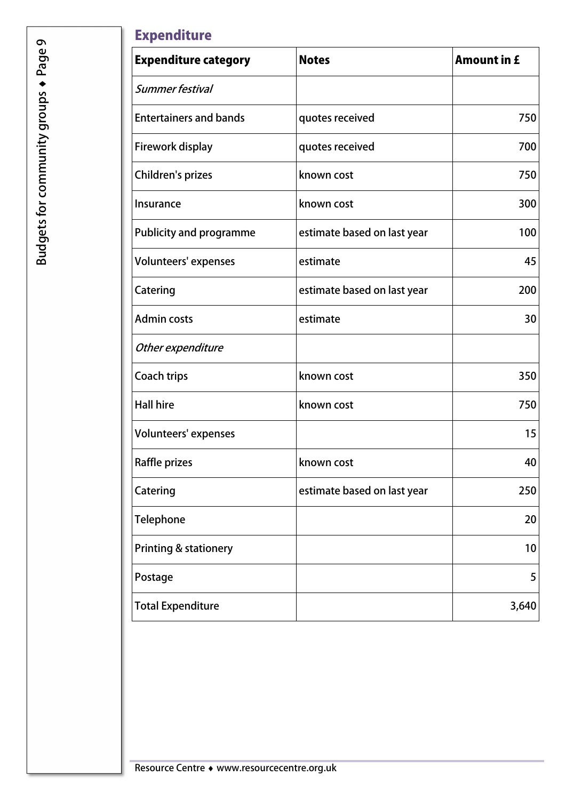#### **Expenditure**

| <b>Expenditure category</b>      | <b>Notes</b>                | <b>Amount in £</b> |
|----------------------------------|-----------------------------|--------------------|
| Summer festival                  |                             |                    |
| <b>Entertainers and bands</b>    | quotes received             | 750                |
| Firework display                 | quotes received             | 700                |
| Children's prizes                | known cost                  | 750                |
| Insurance                        | known cost                  | 300                |
| <b>Publicity and programme</b>   | estimate based on last year | 100                |
| <b>Volunteers' expenses</b>      | estimate                    | 45                 |
| Catering                         | estimate based on last year | 200                |
| <b>Admin costs</b>               | estimate                    | 30                 |
| Other expenditure                |                             |                    |
| <b>Coach trips</b>               | known cost                  | 350                |
| <b>Hall hire</b>                 | known cost                  | 750                |
| <b>Volunteers' expenses</b>      |                             | 15                 |
| Raffle prizes                    | known cost                  | 40                 |
| Catering                         | estimate based on last year | 250                |
| Telephone                        |                             | 20                 |
| <b>Printing &amp; stationery</b> |                             | 10                 |
| Postage                          |                             | 5                  |
| <b>Total Expenditure</b>         |                             | 3,640              |